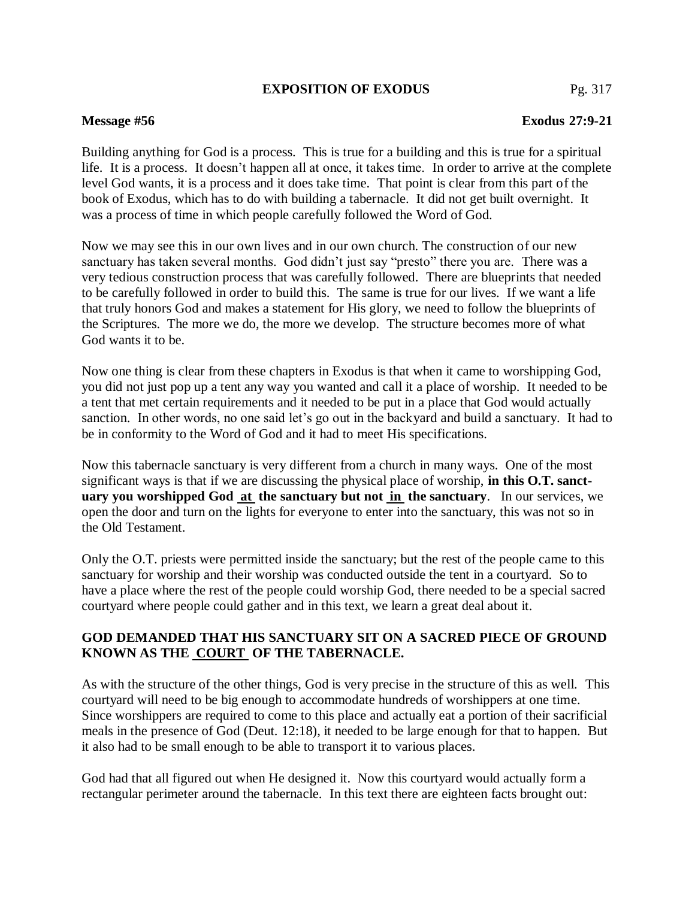### **EXPOSITION OF EXODUS** Pg. 317

# **Message #56 Exodus 27:9-21**

Building anything for God is a process. This is true for a building and this is true for a spiritual life. It is a process. It doesn't happen all at once, it takes time. In order to arrive at the complete level God wants, it is a process and it does take time. That point is clear from this part of the book of Exodus, which has to do with building a tabernacle. It did not get built overnight. It was a process of time in which people carefully followed the Word of God.

Now we may see this in our own lives and in our own church. The construction of our new sanctuary has taken several months. God didn't just say "presto" there you are. There was a very tedious construction process that was carefully followed. There are blueprints that needed to be carefully followed in order to build this. The same is true for our lives. If we want a life that truly honors God and makes a statement for His glory, we need to follow the blueprints of the Scriptures. The more we do, the more we develop. The structure becomes more of what God wants it to be.

Now one thing is clear from these chapters in Exodus is that when it came to worshipping God, you did not just pop up a tent any way you wanted and call it a place of worship. It needed to be a tent that met certain requirements and it needed to be put in a place that God would actually sanction. In other words, no one said let's go out in the backyard and build a sanctuary. It had to be in conformity to the Word of God and it had to meet His specifications.

Now this tabernacle sanctuary is very different from a church in many ways. One of the most significant ways is that if we are discussing the physical place of worship, **in this O.T. sanctuary you worshipped God at the sanctuary but not in the sanctuary**.In our services, we open the door and turn on the lights for everyone to enter into the sanctuary, this was not so in the Old Testament.

Only the O.T. priests were permitted inside the sanctuary; but the rest of the people came to this sanctuary for worship and their worship was conducted outside the tent in a courtyard. So to have a place where the rest of the people could worship God, there needed to be a special sacred courtyard where people could gather and in this text, we learn a great deal about it.

## **GOD DEMANDED THAT HIS SANCTUARY SIT ON A SACRED PIECE OF GROUND KNOWN AS THE COURT OF THE TABERNACLE.**

As with the structure of the other things, God is very precise in the structure of this as well. This courtyard will need to be big enough to accommodate hundreds of worshippers at one time. Since worshippers are required to come to this place and actually eat a portion of their sacrificial meals in the presence of God (Deut. 12:18), it needed to be large enough for that to happen. But it also had to be small enough to be able to transport it to various places.

God had that all figured out when He designed it. Now this courtyard would actually form a rectangular perimeter around the tabernacle. In this text there are eighteen facts brought out: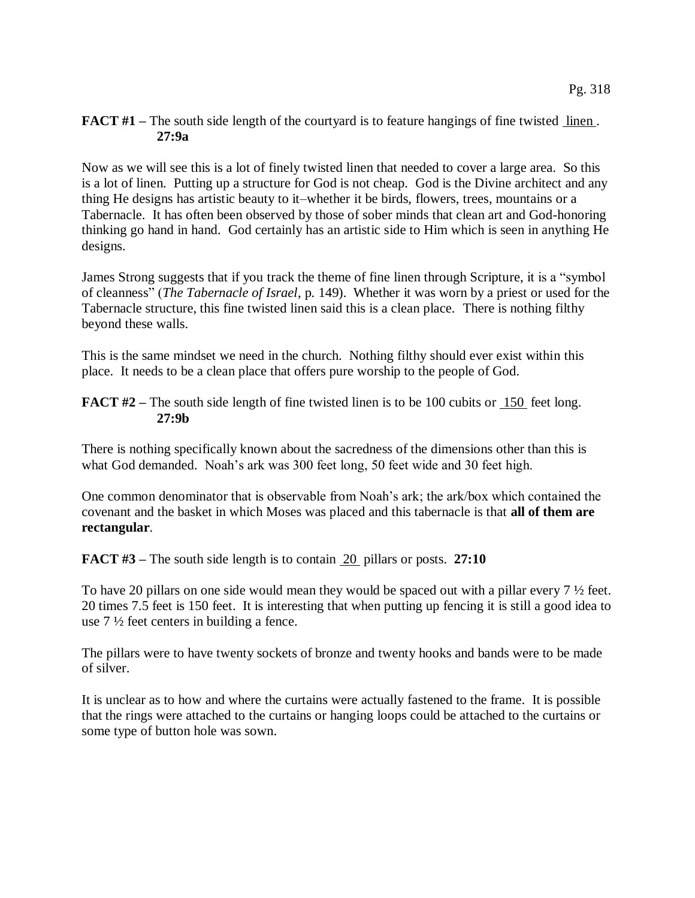### **FACT #1** – The south side length of the courtyard is to feature hangings of fine twisted linen. **27:9a**

Now as we will see this is a lot of finely twisted linen that needed to cover a large area. So this is a lot of linen. Putting up a structure for God is not cheap. God is the Divine architect and any thing He designs has artistic beauty to it–whether it be birds, flowers, trees, mountains or a Tabernacle. It has often been observed by those of sober minds that clean art and God-honoring thinking go hand in hand. God certainly has an artistic side to Him which is seen in anything He designs.

James Strong suggests that if you track the theme of fine linen through Scripture, it is a "symbol of cleanness" (*The Tabernacle of Israel*, p. 149). Whether it was worn by a priest or used for the Tabernacle structure, this fine twisted linen said this is a clean place. There is nothing filthy beyond these walls.

This is the same mindset we need in the church. Nothing filthy should ever exist within this place. It needs to be a clean place that offers pure worship to the people of God.

**FACT #2** – The south side length of fine twisted linen is to be 100 cubits or 150 feet long. **27:9b**

There is nothing specifically known about the sacredness of the dimensions other than this is what God demanded. Noah's ark was 300 feet long, 50 feet wide and 30 feet high.

One common denominator that is observable from Noah's ark; the ark/box which contained the covenant and the basket in which Moses was placed and this tabernacle is that **all of them are rectangular**.

**FACT #3** – The south side length is to contain 20 pillars or posts. 27:10

To have 20 pillars on one side would mean they would be spaced out with a pillar every 7 ½ feet. 20 times 7.5 feet is 150 feet. It is interesting that when putting up fencing it is still a good idea to use  $7\frac{1}{2}$  feet centers in building a fence.

The pillars were to have twenty sockets of bronze and twenty hooks and bands were to be made of silver.

It is unclear as to how and where the curtains were actually fastened to the frame. It is possible that the rings were attached to the curtains or hanging loops could be attached to the curtains or some type of button hole was sown.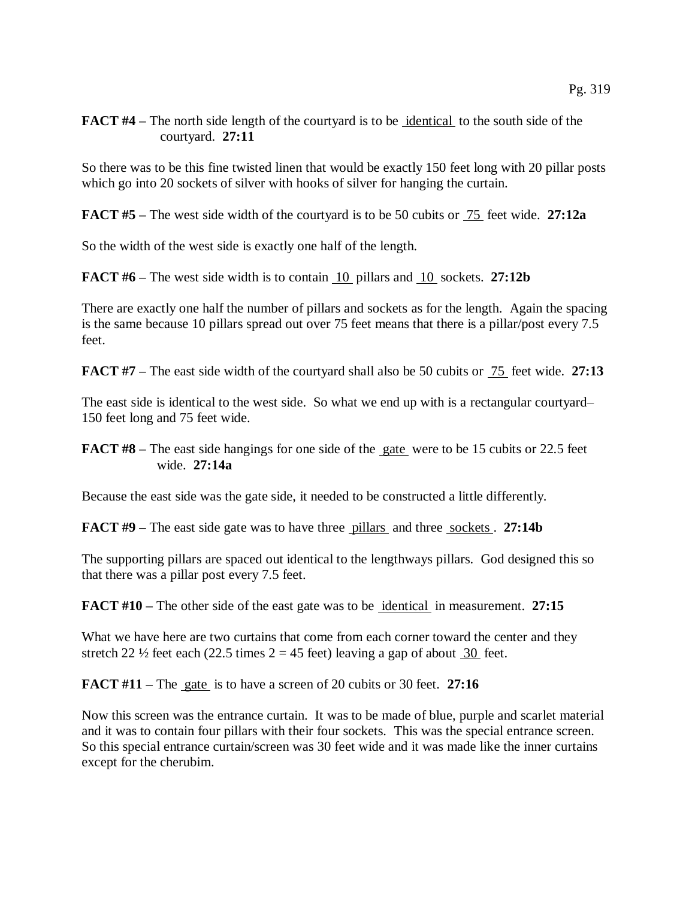## **FACT #4** – The north side length of the courtyard is to be identical to the south side of the courtyard. **27:11**

So there was to be this fine twisted linen that would be exactly 150 feet long with 20 pillar posts which go into 20 sockets of silver with hooks of silver for hanging the curtain.

**FACT #5 –** The west side width of the courtyard is to be 50 cubits or 75 feet wide. **27:12a**

So the width of the west side is exactly one half of the length.

**FACT #6 –** The west side width is to contain 10 pillars and 10 sockets. **27:12b**

There are exactly one half the number of pillars and sockets as for the length. Again the spacing is the same because 10 pillars spread out over 75 feet means that there is a pillar/post every 7.5 feet.

**FACT #7** – The east side width of the courtyard shall also be 50 cubits or  $\frac{75}{25}$  feet wide. 27:13

The east side is identical to the west side. So what we end up with is a rectangular courtyard– 150 feet long and 75 feet wide.

Because the east side was the gate side, it needed to be constructed a little differently.

**FACT #9** – The east side gate was to have three pillars and three sockets. 27:14b

The supporting pillars are spaced out identical to the lengthways pillars. God designed this so that there was a pillar post every 7.5 feet.

**FACT #10** – The other side of the east gate was to be identical in measurement. 27:15

What we have here are two curtains that come from each corner toward the center and they stretch 22  $\frac{1}{2}$  feet each (22.5 times 2 = 45 feet) leaving a gap of about 30 feet.

**FACT #11 –** The gate is to have a screen of 20 cubits or 30 feet. **27:16**

Now this screen was the entrance curtain. It was to be made of blue, purple and scarlet material and it was to contain four pillars with their four sockets. This was the special entrance screen. So this special entrance curtain/screen was 30 feet wide and it was made like the inner curtains except for the cherubim.

**FACT #8** – The east side hangings for one side of the gate were to be 15 cubits or 22.5 feet wide. **27:14a**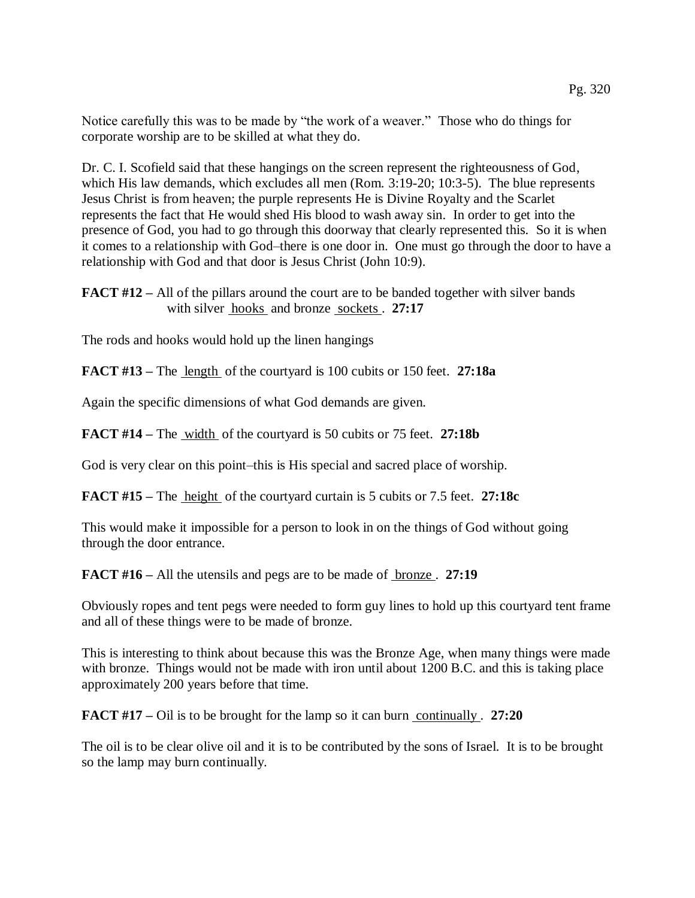Notice carefully this was to be made by "the work of a weaver." Those who do things for corporate worship are to be skilled at what they do.

Dr. C. I. Scofield said that these hangings on the screen represent the righteousness of God, which His law demands, which excludes all men (Rom. 3:19-20; 10:3-5). The blue represents Jesus Christ is from heaven; the purple represents He is Divine Royalty and the Scarlet represents the fact that He would shed His blood to wash away sin. In order to get into the presence of God, you had to go through this doorway that clearly represented this. So it is when it comes to a relationship with God–there is one door in. One must go through the door to have a relationship with God and that door is Jesus Christ (John 10:9).

**FACT #12** – All of the pillars around the court are to be banded together with silver bands with silver <u>hooks</u> and bronze sockets . 27:17

The rods and hooks would hold up the linen hangings

**FACT #13 –** The length of the courtyard is 100 cubits or 150 feet. **27:18a**

Again the specific dimensions of what God demands are given.

**FACT #14 –** The width of the courtyard is 50 cubits or 75 feet. **27:18b**

God is very clear on this point–this is His special and sacred place of worship.

**FACT #15 –** The height of the courtyard curtain is 5 cubits or 7.5 feet. **27:18c**

This would make it impossible for a person to look in on the things of God without going through the door entrance.

**FACT #16 –** All the utensils and pegs are to be made of bronze . **27:19**

Obviously ropes and tent pegs were needed to form guy lines to hold up this courtyard tent frame and all of these things were to be made of bronze.

This is interesting to think about because this was the Bronze Age, when many things were made with bronze. Things would not be made with iron until about 1200 B.C. and this is taking place approximately 200 years before that time.

**FACT #17** – Oil is to be brought for the lamp so it can burn continually . 27:20

The oil is to be clear olive oil and it is to be contributed by the sons of Israel. It is to be brought so the lamp may burn continually.